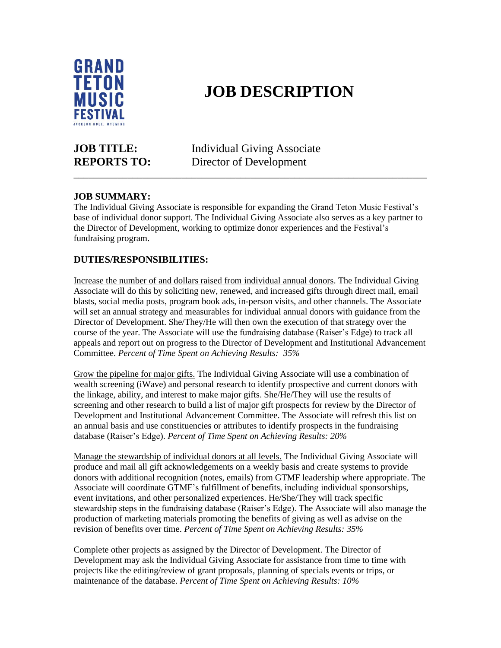

# **JOB DESCRIPTION**

**JOB TITLE:** Individual Giving Associate **REPORTS TO:** Director of Development

\_\_\_\_\_\_\_\_\_\_\_\_\_\_\_\_\_\_\_\_\_\_\_\_\_\_\_\_\_\_\_\_\_\_\_\_\_\_\_\_\_\_\_\_\_\_\_\_\_\_\_\_\_\_\_\_\_\_\_\_\_\_\_\_\_\_\_\_\_\_\_\_

## **JOB SUMMARY:**

The Individual Giving Associate is responsible for expanding the Grand Teton Music Festival's base of individual donor support. The Individual Giving Associate also serves as a key partner to the Director of Development, working to optimize donor experiences and the Festival's fundraising program.

### **DUTIES/RESPONSIBILITIES:**

Increase the number of and dollars raised from individual annual donors. The Individual Giving Associate will do this by soliciting new, renewed, and increased gifts through direct mail, email blasts, social media posts, program book ads, in-person visits, and other channels. The Associate will set an annual strategy and measurables for individual annual donors with guidance from the Director of Development. She/They/He will then own the execution of that strategy over the course of the year. The Associate will use the fundraising database (Raiser's Edge) to track all appeals and report out on progress to the Director of Development and Institutional Advancement Committee. *Percent of Time Spent on Achieving Results: 35%*

Grow the pipeline for major gifts. The Individual Giving Associate will use a combination of wealth screening (iWave) and personal research to identify prospective and current donors with the linkage, ability, and interest to make major gifts. She/He/They will use the results of screening and other research to build a list of major gift prospects for review by the Director of Development and Institutional Advancement Committee. The Associate will refresh this list on an annual basis and use constituencies or attributes to identify prospects in the fundraising database (Raiser's Edge). *Percent of Time Spent on Achieving Results: 20%*

Manage the stewardship of individual donors at all levels. The Individual Giving Associate will produce and mail all gift acknowledgements on a weekly basis and create systems to provide donors with additional recognition (notes, emails) from GTMF leadership where appropriate. The Associate will coordinate GTMF's fulfillment of benefits, including individual sponsorships, event invitations, and other personalized experiences. He/She/They will track specific stewardship steps in the fundraising database (Raiser's Edge). The Associate will also manage the production of marketing materials promoting the benefits of giving as well as advise on the revision of benefits over time. *Percent of Time Spent on Achieving Results: 35%*

Complete other projects as assigned by the Director of Development. The Director of Development may ask the Individual Giving Associate for assistance from time to time with projects like the editing/review of grant proposals, planning of specials events or trips, or maintenance of the database. *Percent of Time Spent on Achieving Results: 10%*